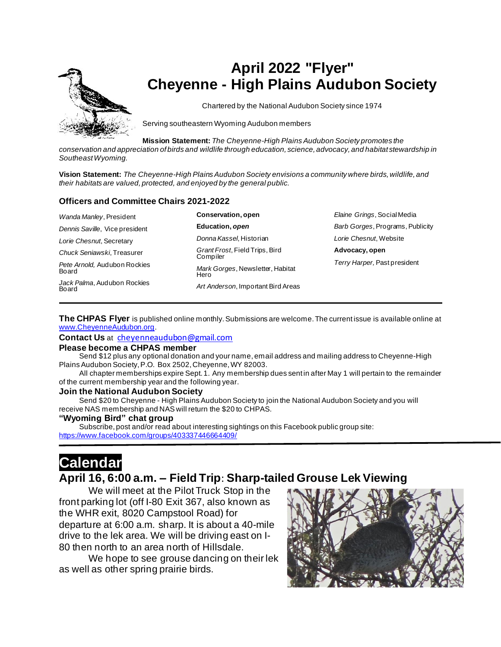

# **April 2022 "Flyer" Cheyenne - High Plains Audubon Society**

Chartered by the National Audubon Society since 1974

Serving southeastern Wyoming Audubon members

**Mission Statement:** *The Cheyenne-High Plains Audubon Society promotes the* 

*conservation and appreciation of birds and wildlife through education, science, advocacy, and habitat stewardship in Southeast Wyoming.*

**Vision Statement:** *The Cheyenne-High Plains Audubon Society envisions a community where birds, wildlife, and their habitats are valued, protected, and enjoyed by the general public.*

#### **Officers and Committee Chairs 2021-2022**

| Wanda Manley, President               | Conservation, open                         | Elaine Grings, Social Media      |
|---------------------------------------|--------------------------------------------|----------------------------------|
| Dennis Saville, Vice president        | Education, open                            | Barb Gorges, Programs, Publicity |
| Lorie Chesnut, Secretary              | Donna Kassel, Historian                    | Lorie Chesnut, Website           |
| Chuck Seniawski, Treasurer            | Grant Frost, Field Trips, Bird<br>Compiler | Advocacy, open                   |
| Pete Arnold, Audubon Rockies<br>Board | Mark Gorges, Newsletter, Habitat<br>Hero   | Terry Harper, Past president     |
| Jack Palma, Audubon Rockies<br>Board  | Art Anderson, Important Bird Areas         |                                  |

**The CHPAS Flyer** is published online monthly. Submissions are welcome. The current issue is available online at [www.CheyenneAudubon.org](http://www.cheyenneaudubon.org/).

**Contact Us** at [cheyenneaudubon@gmail.com](mailto:cheyenneaudubon@gmail.com)

#### **Please become a CHPAS member**

 Send \$12 plus any optional donation and your name, email address and mailing address to Cheyenne-High Plains Audubon Society, P.O. Box 2502, Cheyenne, WY 82003.

 All chapter memberships expire Sept. 1. Any membership dues sent in after May 1 will pertain to the remainder of the current membership year and the following year.

#### **Join the National Audubon Society**

 Send \$20 to Cheyenne - High Plains Audubon Society to join the National Audubon Society and you will receive NAS membership and NAS will return the \$20 to CHPAS.

#### **"Wyoming Bird" chat group**

 Subscribe, post and/or read about interesting sightings on this Facebook public group site: <https://www.facebook.com/groups/403337446664409/>

# **Calendar**

## **April 16, 6:00 a.m. – Field Trip**: **Sharp-tailed Grouse Lek Viewing**

We will meet at the Pilot Truck Stop in the front parking lot (off I-80 Exit 367, also known as the WHR exit, 8020 Campstool Road) for departure at 6:00 a.m. sharp. It is about a 40-mile drive to the lek area. We will be driving east on I-80 then north to an area north of Hillsdale.

We hope to see grouse dancing on their lek as well as other spring prairie birds.

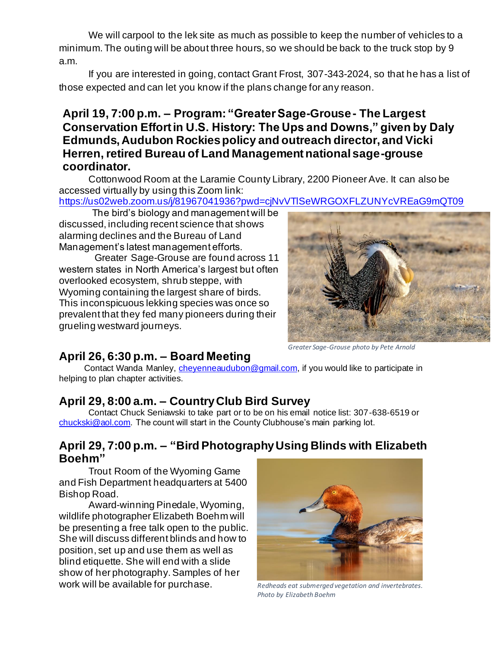We will carpool to the lek site as much as possible to keep the number of vehicles to a minimum. The outing will be about three hours, so we should be back to the truck stop by 9 a.m.

If you are interested in going, contact Grant Frost, 307-343-2024, so that he has a list of those expected and can let you know if the plans change for any reason.

## **April 19, 7:00 p.m. – Program: "Greater Sage-Grouse - The Largest Conservation Effort in U.S. History: The Ups and Downs," given by Daly Edmunds, Audubon Rockies policy and outreach director, and Vicki Herren, retired Bureau of Land Management national sage-grouse coordinator.**

Cottonwood Room at the Laramie County Library, 2200 Pioneer Ave. It can also be accessed virtually by using this Zoom link:

<https://us02web.zoom.us/j/81967041936?pwd=cjNvVTlSeWRGOXFLZUNYcVREaG9mQT09>

The bird's biology and management will be discussed, including recent science that shows alarming declines and the Bureau of Land Management's latest management efforts.

Greater Sage-Grouse are found across 11 western states in North America's largest but often overlooked ecosystem, shrub steppe, with Wyoming containing the largest share of birds. This inconspicuous lekking species was once so prevalent that they fed many pioneers during their grueling westward journeys.



# **April 26, 6:30 p.m. – Board Meeting**

Contact Wanda Manley, *cheyenneaudubon@gmail.com*, if you would like to participate in helping to plan chapter activities.

# **April 29, 8:00 a.m. – Country Club Bird Survey**

Contact Chuck Seniawski to take part or to be on his email notice list: 307-638-6519 or [chuckski@aol.com.](mailto:chuckski@aol.com) The count will start in the County Clubhouse's main parking lot.

## **April 29, 7:00 p.m. – "Bird Photography Using Blinds with Elizabeth Boehm"**

Trout Room of the Wyoming Game and Fish Department headquarters at 5400 Bishop Road.

Award-winning Pinedale, Wyoming, wildlife photographer Elizabeth Boehm will be presenting a free talk open to the public. She will discuss different blinds and how to position, set up and use them as well as blind etiquette. She will end with a slide show of her photography. Samples of her work will be available for purchase.



*Redheads eat submerged vegetation and invertebrates. Photo by Elizabeth Boehm*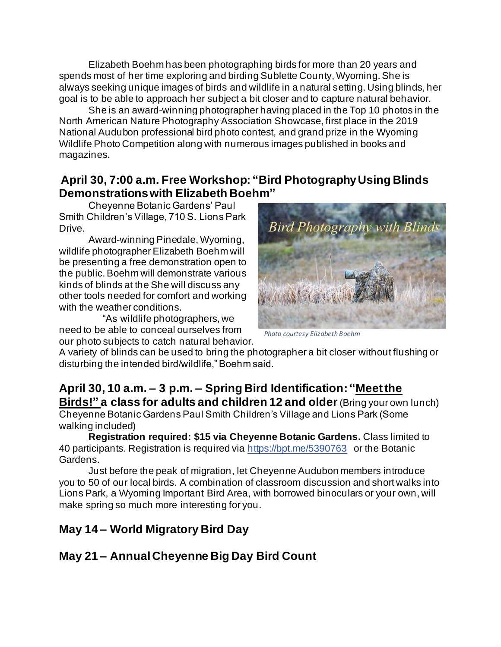Elizabeth Boehm has been photographing birds for more than 20 years and spends most of her time exploring and birding Sublette County, Wyoming. She is always seeking unique images of birds and wildlife in a natural setting. Using blinds, her goal is to be able to approach her subject a bit closer and to capture natural behavior.

She is an award-winning photographer having placed in the Top 10 photos in the North American Nature Photography Association Showcase, first place in the 2019 National Audubon professional bird photo contest, and grand prize in the Wyoming Wildlife Photo Competition along with numerous images published in books and magazines.

## **April 30, 7:00 a.m. Free Workshop: "Bird Photography Using Blinds Demonstrations with Elizabeth Boehm"**

Cheyenne Botanic Gardens' Paul Smith Children's Village, 710 S. Lions Park Drive.

Award-winning Pinedale, Wyoming, wildlife photographer Elizabeth Boehm will be presenting a free demonstration open to the public. Boehm will demonstrate various kinds of blinds at the She will discuss any other tools needed for comfort and working with the weather conditions.

 "As wildlife photographers, we need to be able to conceal ourselves from our photo subjects to catch natural behavior.



*Photo courtesy Elizabeth Boehm*

A variety of blinds can be used to bring the photographer a bit closer without flushing or disturbing the intended bird/wildlife," Boehm said.

## **April 30, 10 a.m. – 3 p.m. – Spring Bird Identification: "Meet the Birds!" a class for adults and children 12 and older**(Bring your own lunch)

Cheyenne Botanic Gardens Paul Smith Children's Village and Lions Park (Some walking included)

**Registration required: \$15 via Cheyenne Botanic Gardens.** Class limited to 40 participants. Registration is required via [https://bpt.me/5390763](https://nam12.safelinks.protection.outlook.com/?url=https%3A%2F%2Fbpt.me%2F5390763&data=04%7C01%7C%7C1103e411acbe41f1e73608d9fbc2f76f%7C84df9e7fe9f640afb435aaaaaaaaaaaa%7C1%7C0%7C637817637073601469%7CUnknown%7CTWFpbGZsb3d8eyJWIjoiMC4wLjAwMDAiLCJQIjoiV2luMzIiLCJBTiI6Ik1haWwiLCJXVCI6Mn0%3D%7C3000&sdata=5dTrMZLYy1r%2FbhVnGCsvXJjLpqJAkuHiEo1rdzb66Os%3D&reserved=0) or the Botanic Gardens.

Just before the peak of migration, let Cheyenne Audubon members introduce you to 50 of our local birds. A combination of classroom discussion and short walks into Lions Park, a Wyoming Important Bird Area, with borrowed binoculars or your own, will make spring so much more interesting for you.

## **May 14 – World Migratory Bird Day**

# **May 21 – Annual Cheyenne Big Day Bird Count**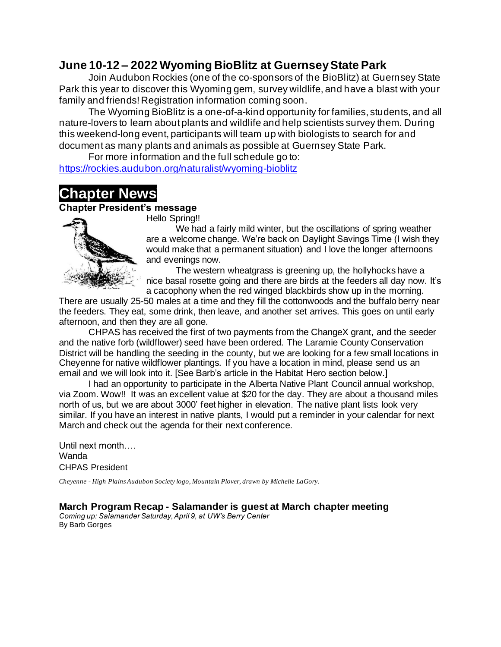## **June 10-12 – 2022 Wyoming BioBlitz at Guernsey State Park**

Join Audubon Rockies (one of the co-sponsors of the BioBlitz) at Guernsey State Park this year to discover this Wyoming gem, survey wildlife, and have a blast with your family and friends! Registration information coming soon.

The Wyoming BioBlitz is a one-of-a-kind opportunity for families, students, and all nature-lovers to learn about plants and wildlife and help scientists survey them. During this weekend-long event, participants will team up with biologists to search for and document as many plants and animals as possible at Guernsey State Park.

For more information and the full schedule go to: <https://rockies.audubon.org/naturalist/wyoming-bioblitz>

# **Chapter News**

## **Chapter President's message**



Hello Spring!!

We had a fairly mild winter, but the oscillations of spring weather are a welcome change. We're back on Daylight Savings Time (I wish they would make that a permanent situation) and I love the longer afternoons and evenings now.

The western wheatgrass is greening up, the hollyhocks have a nice basal rosette going and there are birds at the feeders all day now. It's a cacophony when the red winged blackbirds show up in the morning.

There are usually 25-50 males at a time and they fill the cottonwoods and the buffalo berry near the feeders. They eat, some drink, then leave, and another set arrives. This goes on until early afternoon, and then they are all gone.

CHPAS has received the first of two payments from the ChangeX grant, and the seeder and the native forb (wildflower) seed have been ordered. The Laramie County Conservation District will be handling the seeding in the county, but we are looking for a few small locations in Cheyenne for native wildflower plantings. If you have a location in mind, please send us an email and we will look into it. [See Barb's article in the Habitat Hero section below.]

I had an opportunity to participate in the Alberta Native Plant Council annual workshop, via Zoom. Wow!! It was an excellent value at \$20 for the day. They are about a thousand miles north of us, but we are about 3000' feet higher in elevation. The native plant lists look very similar. If you have an interest in native plants, I would put a reminder in your calendar for next March and check out the agenda for their next conference.

Until next month…. Wanda CHPAS President

*Cheyenne - High Plains Audubon Society logo, Mountain Plover, drawn by Michelle LaGory.*

### **March Program Recap - Salamander is guest at March chapter meeting**

*Coming up: Salamander Saturday, April 9, at UW's Berry Center* By Barb Gorges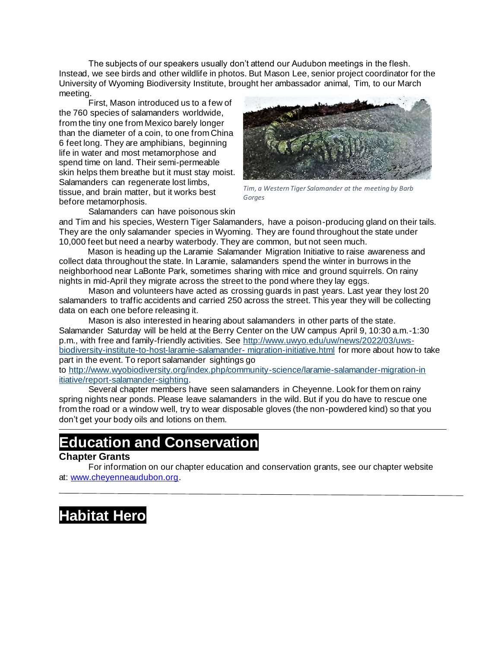The subjects of our speakers usually don't attend our Audubon meetings in the flesh. Instead, we see birds and other wildlife in photos. But Mason Lee, senior project coordinator for the University of Wyoming Biodiversity Institute, brought her ambassador animal, Tim, to our March meeting.

First, Mason introduced us to a few of the 760 species of salamanders worldwide, from the tiny one from Mexico barely longer than the diameter of a coin, to one from China 6 feet long. They are amphibians, beginning life in water and most metamorphose and spend time on land. Their semi-permeable skin helps them breathe but it must stay moist. Salamanders can regenerate lost limbs, tissue, and brain matter, but it works best before metamorphosis.



*Tim, a Western Tiger Salamander at the meeting by Barb Gorges*

Salamanders can have poisonous skin

and Tim and his species, Western Tiger Salamanders, have a poison-producing gland on their tails. They are the only salamander species in Wyoming. They are found throughout the state under 10,000 feet but need a nearby waterbody. They are common, but not seen much.

 Mason is heading up the Laramie Salamander Migration Initiative to raise awareness and collect data throughout the state. In Laramie, salamanders spend the winter in burrows in the neighborhood near LaBonte Park, sometimes sharing with mice and ground squirrels. On rainy nights in mid-April they migrate across the street to the pond where they lay eggs.

Mason and volunteers have acted as crossing guards in past years. Last year they lost 20 salamanders to traffic accidents and carried 250 across the street. This year they will be collecting data on each one before releasing it.

Mason is also interested in hearing about salamanders in other parts of the state. Salamander Saturday will be held at the Berry Center on the UW campus April 9, 10:30 a.m.-1:30 p.m., with free and family-friendly activities. See [http://www.uwyo.edu/uw/news/2022/03/uws](http://www.uwyo.edu/uw/news/2022/03/uws-biodiversity-institute-to-host-laramie-salamander-migration-initiative.html)[biodiversity-institute-to-host-laramie-salamander-](http://www.uwyo.edu/uw/news/2022/03/uws-biodiversity-institute-to-host-laramie-salamander-migration-initiative.html) migration-initiative.html for more about how to take part in the event. To report salamander sightings go

to [http://www.wyobiodiversity.org/index.php/community-science/laramie-salamander-migration-in](http://www.wyobiodiversity.org/index.php/community-science/laramie-salamander-migration-initiative/report-salamander-sighting)  [itiative/report-salamander-sighting.](http://www.wyobiodiversity.org/index.php/community-science/laramie-salamander-migration-initiative/report-salamander-sighting)

Several chapter members have seen salamanders in Cheyenne. Look for them on rainy spring nights near ponds. Please leave salamanders in the wild. But if you do have to rescue one from the road or a window well, try to wear disposable gloves (the non-powdered kind) so that you don't get your body oils and lotions on them.

# **Education and Conservation**

### **Chapter Grants**

For information on our chapter education and conservation grants, see our chapter website at: [www.cheyenneaudubon.org.](http://www.cheyenneaudubon.org/)

# **Habitat Hero**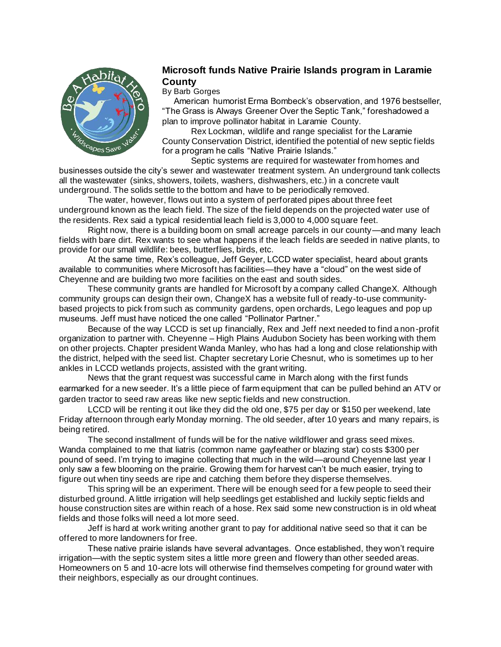

### **Microsoft funds Native Prairie Islands program in Laramie County**

#### By Barb Gorges

 American humorist Erma Bombeck's observation, and 1976 bestseller, "The Grass is Always Greener Over the Septic Tank," foreshadowed a plan to improve pollinator habitat in Laramie County.

 Rex Lockman, wildlife and range specialist for the Laramie County Conservation District, identified the potential of new septic fields for a program he calls "Native Prairie Islands."

 Septic systems are required for wastewater from homes and businesses outside the city's sewer and wastewater treatment system. An underground tank collects all the wastewater (sinks, showers, toilets, washers, dishwashers, etc.) in a concrete vault underground. The solids settle to the bottom and have to be periodically removed.

 The water, however, flows out into a system of perforated pipes about three feet underground known as the leach field. The size of the field depends on the projected water use of the residents. Rex said a typical residential leach field is 3,000 to 4,000 square feet.

 Right now, there is a building boom on small acreage parcels in our county—and many leach fields with bare dirt. Rex wants to see what happens if the leach fields are seeded in native plants, to provide for our small wildlife: bees, butterflies, birds, etc.

 At the same time, Rex's colleague, Jeff Geyer, LCCD water specialist, heard about grants available to communities where Microsoft has facilities—they have a "cloud" on the west side of Cheyenne and are building two more facilities on the east and south sides.

 These community grants are handled for Microsoft by a company called ChangeX. Although community groups can design their own, ChangeX has a website full of ready-to-use communitybased projects to pick from such as community gardens, open orchards, Lego leagues and pop up museums. Jeff must have noticed the one called "Pollinator Partner."

 Because of the way LCCD is set up financially, Rex and Jeff next needed to find a non-profit organization to partner with. Cheyenne – High Plains Audubon Society has been working with them on other projects. Chapter president Wanda Manley, who has had a long and close relationship with the district, helped with the seed list. Chapter secretary Lorie Chesnut, who is sometimes up to her ankles in LCCD wetlands projects, assisted with the grant writing.

 News that the grant request was successful came in March along with the first funds earmarked for a new seeder. It's a little piece of farm equipment that can be pulled behind an ATV or garden tractor to seed raw areas like new septic fields and new construction.

 LCCD will be renting it out like they did the old one, \$75 per day or \$150 per weekend, late Friday afternoon through early Monday morning. The old seeder, after 10 years and many repairs, is being retired.

 The second installment of funds will be for the native wildflower and grass seed mixes. Wanda complained to me that liatris (common name gayfeather or blazing star) costs \$300 per pound of seed. I'm trying to imagine collecting that much in the wild—around Cheyenne last year I only saw a few blooming on the prairie. Growing them for harvest can't be much easier, trying to figure out when tiny seeds are ripe and catching them before they disperse themselves.

 This spring will be an experiment. There will be enough seed for a few people to seed their disturbed ground. A little irrigation will help seedlings get established and luckily septic fields and house construction sites are within reach of a hose. Rex said some new construction is in old wheat fields and those folks will need a lot more seed.

 Jeff is hard at work writing another grant to pay for additional native seed so that it can be offered to more landowners for free.

 These native prairie islands have several advantages. Once established, they won't require irrigation—with the septic system sites a little more green and flowery than other seeded areas. Homeowners on 5 and 10-acre lots will otherwise find themselves competing for ground water with their neighbors, especially as our drought continues.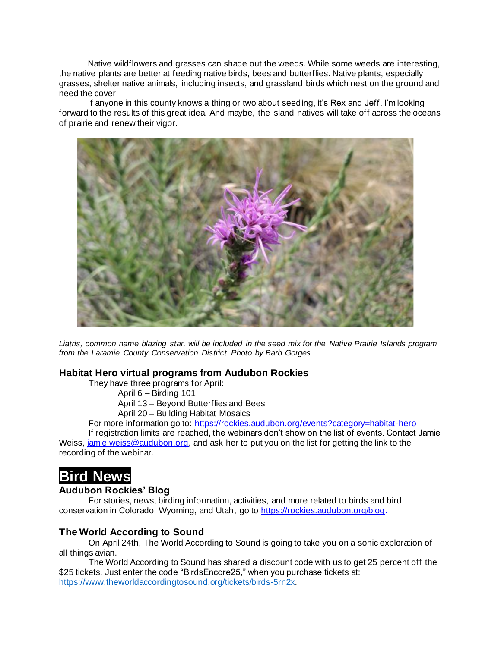Native wildflowers and grasses can shade out the weeds. While some weeds are interesting, the native plants are better at feeding native birds, bees and butterflies. Native plants, especially grasses, shelter native animals, including insects, and grassland birds which nest on the ground and need the cover.

 If anyone in this county knows a thing or two about seeding, it's Rex and Jeff. I'm looking forward to the results of this great idea. And maybe, the island natives will take off across the oceans of prairie and renew their vigor.



*Liatris, common name blazing star, will be included in the seed mix for the Native Prairie Islands program from the Laramie County Conservation District. Photo by Barb Gorges.*

### **Habitat Hero virtual programs from Audubon Rockies**

They have three programs for April:

April 6 – Birding 101

April 13 – Beyond Butterflies and Bees

April 20 – Building Habitat Mosaics

For more information go to:<https://rockies.audubon.org/events?category=habitat-hero>

If registration limits are reached, the webinars don't show on the list of events. Contact Jamie Weiss, *jamie.weiss@audubon.org*, and ask her to put you on the list for getting the link to the recording of the webinar.

# **Bird News**

#### **Audubon Rockies' Blog**

For stories, news, birding information, activities, and more related to birds and bird conservation in Colorado, Wyoming, and Utah, go to [https://rockies.audubon.org/blog](https://rockies.audubon.org/blog.).

### **The World According to Sound**

On April 24th, The World According to Sound is going to take you on a sonic exploration of all things avian.

The World According to Sound has shared a discount code with us to get 25 percent off the \$25 tickets. Just enter the code "BirdsEncore25," when you purchase tickets at: <https://www.theworldaccordingtosound.org/tickets/birds-5rn2x>.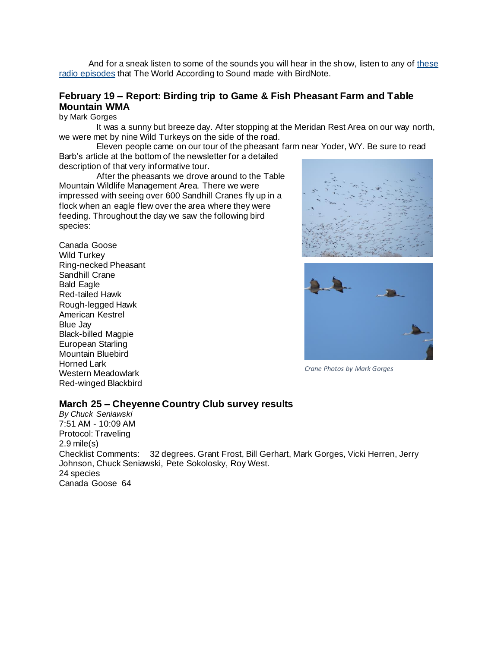And for a sneak listen to some of the sounds you will hear in the show, listen to any of [these](https://nam12.safelinks.protection.outlook.com/?url=https%3A%2F%2Fwww.birdnote.org%2Fcontributed%2F17006&data=04%7C01%7C%7Ca11fa9ec129a4b737be908d9f87d0297%7C84df9e7fe9f640afb435aaaaaaaaaaaa%7C1%7C0%7C637814038057248639%7CUnknown%7CTWFpbGZsb3d8eyJWIjoiMC4wLjAwMDAiLCJQIjoiV2luMzIiLCJBTiI6Ik1haWwiLCJXVCI6Mn0%3D%7C3000&sdata=eg7ndFy6WNREqyTRyv0GYIQ7Dq4g0Nq7MQV8UzI%2FZZI%3D&reserved=0)  [radio episodes](https://nam12.safelinks.protection.outlook.com/?url=https%3A%2F%2Fwww.birdnote.org%2Fcontributed%2F17006&data=04%7C01%7C%7Ca11fa9ec129a4b737be908d9f87d0297%7C84df9e7fe9f640afb435aaaaaaaaaaaa%7C1%7C0%7C637814038057248639%7CUnknown%7CTWFpbGZsb3d8eyJWIjoiMC4wLjAwMDAiLCJQIjoiV2luMzIiLCJBTiI6Ik1haWwiLCJXVCI6Mn0%3D%7C3000&sdata=eg7ndFy6WNREqyTRyv0GYIQ7Dq4g0Nq7MQV8UzI%2FZZI%3D&reserved=0) that The World According to Sound made with BirdNote.

### **February 19 – Report: Birding trip to Game & Fish Pheasant Farm and Table Mountain WMA**

by Mark Gorges

It was a sunny but breeze day. After stopping at the Meridan Rest Area on our way north, we were met by nine Wild Turkeys on the side of the road.

Eleven people came on our tour of the pheasant farm near Yoder, WY. Be sure to read Barb's article at the bottom of the newsletter for a detailed

description of that very informative tour.

After the pheasants we drove around to the Table Mountain Wildlife Management Area. There we were impressed with seeing over 600 Sandhill Cranes fly up in a flock when an eagle flew over the area where they were feeding. Throughout the day we saw the following bird species:

Canada Goose Wild Turkey Ring-necked Pheasant Sandhill Crane Bald Eagle Red-tailed Hawk Rough-legged Hawk American Kestrel Blue Jay Black-billed Magpie European Starling Mountain Bluebird Horned Lark Western Meadowlark Red-winged Blackbird





*Crane Photos by Mark Gorges*

#### **March 25 – Cheyenne Country Club survey results**

*By Chuck Seniawski* 7:51 AM - 10:09 AM Protocol: Traveling 2.9 mile(s) Checklist Comments: 32 degrees. Grant Frost, Bill Gerhart, Mark Gorges, Vicki Herren, Jerry Johnson, Chuck Seniawski, Pete Sokolosky, Roy West. 24 species Canada Goose 64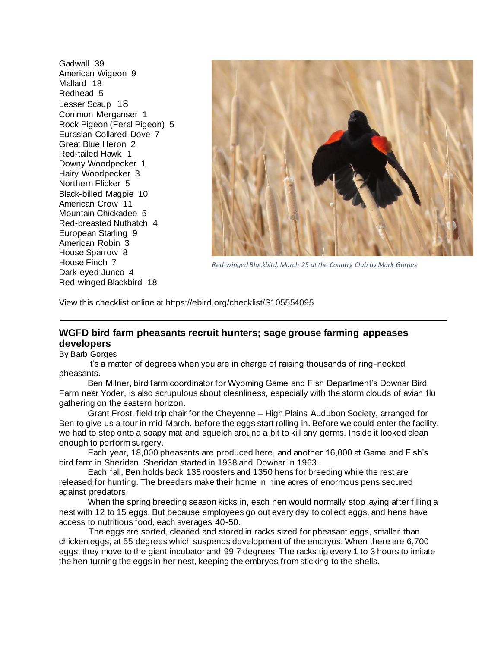Gadwall 39 American Wigeon 9 Mallard 18 Redhead 5 Lesser Scaup 18 Common Merganser 1 Rock Pigeon (Feral Pigeon) 5 Eurasian Collared-Dove 7 Great Blue Heron 2 Red-tailed Hawk 1 Downy Woodpecker 1 Hairy Woodpecker 3 Northern Flicker 5 Black-billed Magpie 10 American Crow 11 Mountain Chickadee 5 Red-breasted Nuthatch 4 European Starling 9 American Robin 3 House Sparrow 8 House Finch 7 Dark-eyed Junco 4 Red-winged Blackbird 18



*Red-winged Blackbird, March 25 at the Country Club by Mark Gorges*

View this checklist online at <https://ebird.org/checklist/S105554095>

### **WGFD bird farm pheasants recruit hunters; sage grouse farming appeases developers**

By Barb Gorges

 It's a matter of degrees when you are in charge of raising thousands of ring-necked pheasants.

 Ben Milner, bird farm coordinator for Wyoming Game and Fish Department's Downar Bird Farm near Yoder, is also scrupulous about cleanliness, especially with the storm clouds of avian flu gathering on the eastern horizon.

 Grant Frost, field trip chair for the Cheyenne – High Plains Audubon Society, arranged for Ben to give us a tour in mid-March, before the eggs start rolling in. Before we could enter the facility, we had to step onto a soapy mat and squelch around a bit to kill any germs. Inside it looked clean enough to perform surgery.

 Each year, 18,000 pheasants are produced here, and another 16,000 at Game and Fish's bird farm in Sheridan. Sheridan started in 1938 and Downar in 1963.

 Each fall, Ben holds back 135 roosters and 1350 hens for breeding while the rest are released for hunting. The breeders make their home in nine acres of enormous pens secured against predators.

 When the spring breeding season kicks in, each hen would normally stop laying after filling a nest with 12 to 15 eggs. But because employees go out every day to collect eggs, and hens have access to nutritious food, each averages 40-50.

The eggs are sorted, cleaned and stored in racks sized for pheasant eggs, smaller than chicken eggs, at 55 degrees which suspends development of the embryos. When there are 6,700 eggs, they move to the giant incubator and 99.7 degrees. The racks tip every 1 to 3 hours to imitate the hen turning the eggs in her nest, keeping the embryos from sticking to the shells.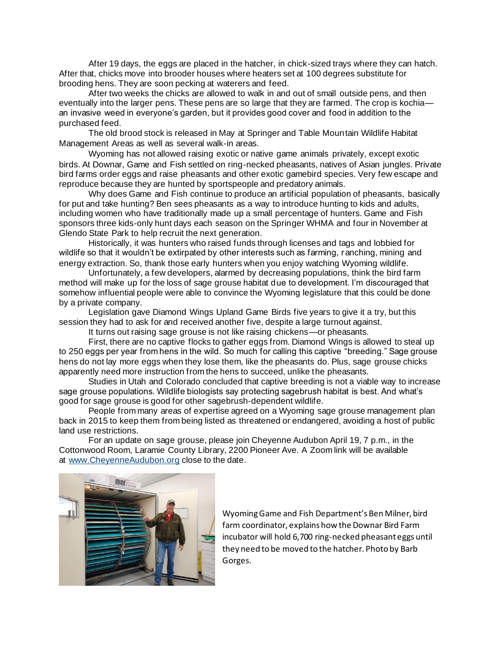After 19 days, the eggs are placed in the hatcher, in chick-sized trays where they can hatch. After that, chicks move into brooder houses where heaters set at 100 degrees substitute for brooding hens. They are soon pecking at waterers and feed.

After two weeks the chicks are allowed to walk in and out of small outside pens, and then eventually into the larger pens. These pens are so large that they are farmed. The crop is kochia an invasive weed in everyone's garden, but it provides good cover and food in addition to the purchased feed.

The old brood stock is released in May at Springer and Table Mountain Wildlife Habitat Management Areas as well as several walk-in areas.

Wyoming has not allowed raising exotic or native game animals privately, except exotic birds. At Downar, Game and Fish settled on ring-necked pheasants, natives of Asian jungles. Private bird farms order eggs and raise pheasants and other exotic gamebird species. Very few escape and reproduce because they are hunted by sportspeople and predatory animals.

Why does Game and Fish continue to produce an artificial population of pheasants, basically for put and take hunting? Ben sees pheasants as a way to introduce hunting to kids and adults, including women who have traditionally made up a small percentage of hunters. Game and Fish sponsors three kids-only hunt days each season on the Springer WHMA and four in November at Glendo State Park to help recruit the next generation.

Historically, it was hunters who raised funds through licenses and tags and lobbied for wildlife so that it wouldn't be extirpated by other interests such as farming, ranching, mining and energy extraction. So, thank those early hunters when you enjoy watching Wyoming wildlife.

Unfortunately, a few developers, alarmed by decreasing populations, think the bird farm method will make up for the loss of sage grouse habitat due to development. I'm discouraged that somehow influential people were able to convince the Wyoming legislature that this could be done by a private company.

Legislation gave Diamond Wings Upland Game Birds five years to give it a try, but this session they had to ask for and received another five, despite a large turnout against.

It turns out raising sage grouse is not like raising chickens—or pheasants.

First, there are no captive flocks to gather eggs from. Diamond Wings is allowed to steal up to 250 eggs per year from hens in the wild. So much for calling this captive "breeding." Sage grouse hens do not lay more eggs when they lose them, like the pheasants do. Plus, sage grouse chicks apparently need more instruction from the hens to succeed, unlike the pheasants.

Studies in Utah and Colorado concluded that captive breeding is not a viable way to increase sage grouse populations. Wildlife biologists say protecting sagebrush habitat is best. And what's good for sage grouse is good for other sagebrush-dependent wildlife.

People from many areas of expertise agreed on a Wyoming sage grouse management plan back in 2015 to keep them from being listed as threatened or endangered, avoiding a host of public land use restrictions.

For an update on sage grouse, please join Cheyenne Audubon April 19, 7 p.m., in the Cottonwood Room, Laramie County Library, 2200 Pioneer Ave. A Zoom link will be available at [www.CheyenneAudubon.org](http://www.cheyenneaudubon.org/) close to the date.



Wyoming Game and Fish Department's Ben Milner, bird farm coordinator, explains how the Downar Bird Farm incubator will hold 6,700 ring-necked pheasant eggs until they need to be moved to the hatcher. Photo by Barb Gorges.